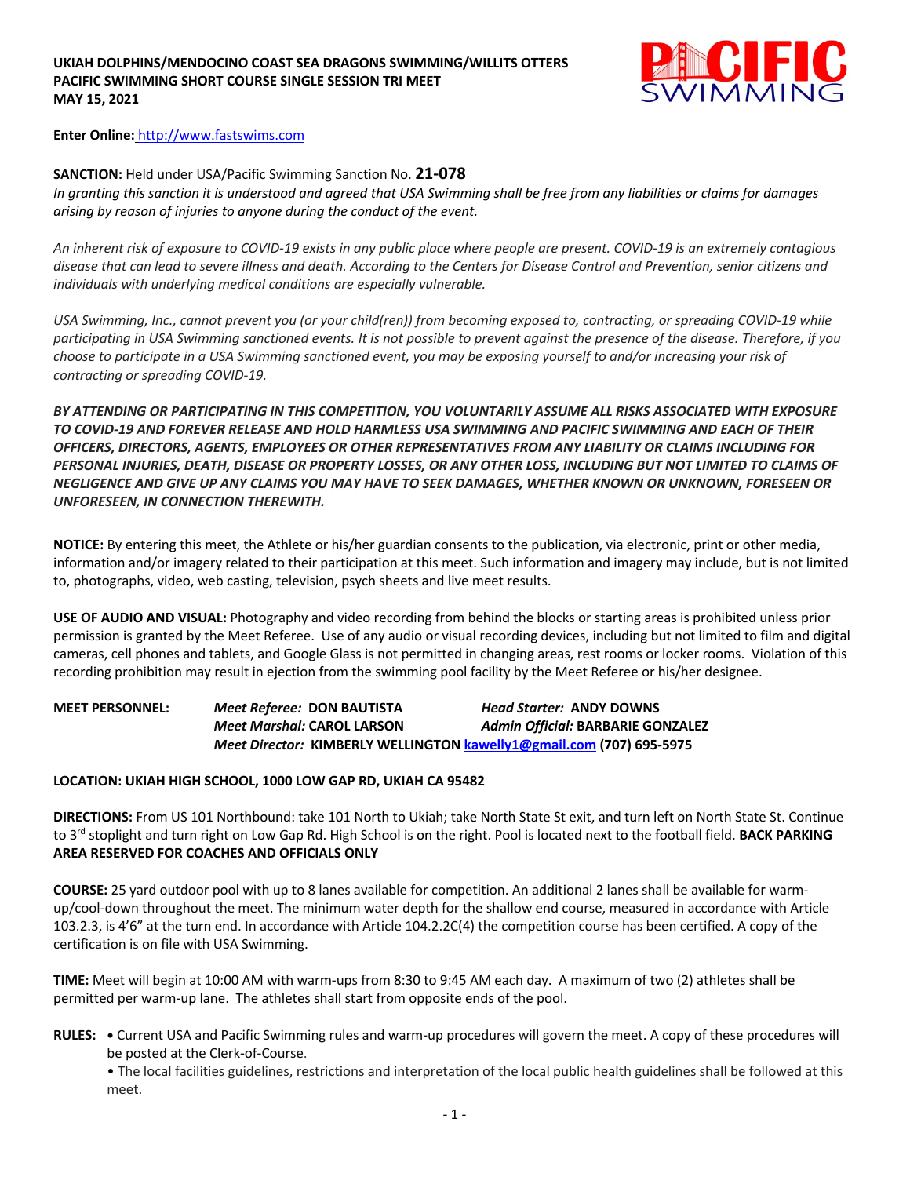

**Enter Online:** http://www.fastswims.com

### **SANCTION:** Held under USA/Pacific Swimming Sanction No. **21-078**

*In granting this sanction it is understood and agreed that USA Swimming shall be free from any liabilities or claims for damages arising by reason of injuries to anyone during the conduct of the event.* 

*An inherent risk of exposure to COVID-19 exists in any public place where people are present. COVID-19 is an extremely contagious disease that can lead to severe illness and death. According to the Centers for Disease Control and Prevention, senior citizens and individuals with underlying medical conditions are especially vulnerable.*

*USA Swimming, Inc., cannot prevent you (or your child(ren)) from becoming exposed to, contracting, or spreading COVID-19 while participating in USA Swimming sanctioned events. It is not possible to prevent against the presence of the disease. Therefore, if you choose to participate in a USA Swimming sanctioned event, you may be exposing yourself to and/or increasing your risk of contracting or spreading COVID-19.*

*BY ATTENDING OR PARTICIPATING IN THIS COMPETITION, YOU VOLUNTARILY ASSUME ALL RISKS ASSOCIATED WITH EXPOSURE TO COVID-19 AND FOREVER RELEASE AND HOLD HARMLESS USA SWIMMING AND PACIFIC SWIMMING AND EACH OF THEIR OFFICERS, DIRECTORS, AGENTS, EMPLOYEES OR OTHER REPRESENTATIVES FROM ANY LIABILITY OR CLAIMS INCLUDING FOR PERSONAL INJURIES, DEATH, DISEASE OR PROPERTY LOSSES, OR ANY OTHER LOSS, INCLUDING BUT NOT LIMITED TO CLAIMS OF NEGLIGENCE AND GIVE UP ANY CLAIMS YOU MAY HAVE TO SEEK DAMAGES, WHETHER KNOWN OR UNKNOWN, FORESEEN OR UNFORESEEN, IN CONNECTION THEREWITH.*

**NOTICE:** By entering this meet, the Athlete or his/her guardian consents to the publication, via electronic, print or other media, information and/or imagery related to their participation at this meet. Such information and imagery may include, but is not limited to, photographs, video, web casting, television, psych sheets and live meet results.

**USE OF AUDIO AND VISUAL:** Photography and video recording from behind the blocks or starting areas is prohibited unless prior permission is granted by the Meet Referee. Use of any audio or visual recording devices, including but not limited to film and digital cameras, cell phones and tablets, and Google Glass is not permitted in changing areas, rest rooms or locker rooms. Violation of this recording prohibition may result in ejection from the swimming pool facility by the Meet Referee or his/her designee.

## **MEET PERSONNEL:** *Meet Referee:* **DON BAUTISTA** *Head Starter:* **ANDY DOWNS** *Meet Marshal:* **CAROL LARSON** *Admin Official:* **BARBARIE GONZALEZ** *Meet Director:* **KIMBERLY WELLINGTON kawelly1@gmail.com (707) 695-5975**

#### **LOCATION: UKIAH HIGH SCHOOL, 1000 LOW GAP RD, UKIAH CA 95482**

**DIRECTIONS:** From US 101 Northbound: take 101 North to Ukiah; take North State St exit, and turn left on North State St. Continue to 3rd stoplight and turn right on Low Gap Rd. High School is on the right. Pool is located next to the football field. **BACK PARKING AREA RESERVED FOR COACHES AND OFFICIALS ONLY**

**COURSE:** 25 yard outdoor pool with up to 8 lanes available for competition. An additional 2 lanes shall be available for warmup/cool-down throughout the meet. The minimum water depth for the shallow end course, measured in accordance with Article 103.2.3, is 4'6" at the turn end. In accordance with Article 104.2.2C(4) the competition course has been certified. A copy of the certification is on file with USA Swimming.

**TIME:** Meet will begin at 10:00 AM with warm-ups from 8:30 to 9:45 AM each day. A maximum of two (2) athletes shall be permitted per warm-up lane. The athletes shall start from opposite ends of the pool.

**RULES: •** Current USA and Pacific Swimming rules and warm-up procedures will govern the meet. A copy of these procedures will be posted at the Clerk-of-Course.

• The local facilities guidelines, restrictions and interpretation of the local public health guidelines shall be followed at this meet.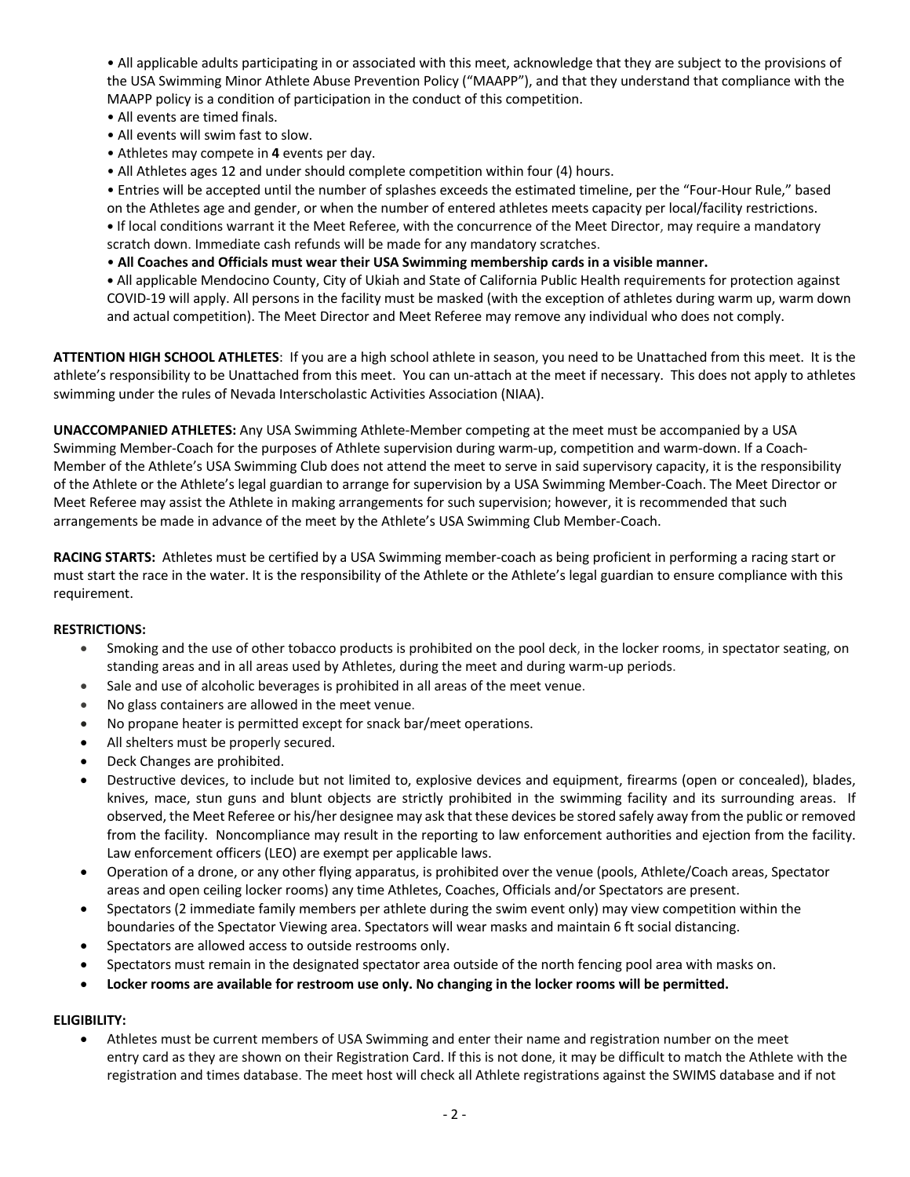• All applicable adults participating in or associated with this meet, acknowledge that they are subject to the provisions of the USA Swimming Minor Athlete Abuse Prevention Policy ("MAAPP"), and that they understand that compliance with the MAAPP policy is a condition of participation in the conduct of this competition.

- All events are timed finals.
- All events will swim fast to slow.
- Athletes may compete in **4** events per day.
- All Athletes ages 12 and under should complete competition within four (4) hours.

• Entries will be accepted until the number of splashes exceeds the estimated timeline, per the "Four-Hour Rule," based on the Athletes age and gender, or when the number of entered athletes meets capacity per local/facility restrictions. **•** If local conditions warrant it the Meet Referee, with the concurrence of the Meet Director, may require a mandatory scratch down. Immediate cash refunds will be made for any mandatory scratches.

• **All Coaches and Officials must wear their USA Swimming membership cards in a visible manner.** 

**•** All applicable Mendocino County, City of Ukiah and State of California Public Health requirements for protection against COVID-19 will apply. All persons in the facility must be masked (with the exception of athletes during warm up, warm down and actual competition). The Meet Director and Meet Referee may remove any individual who does not comply.

**ATTENTION HIGH SCHOOL ATHLETES**: If you are a high school athlete in season, you need to be Unattached from this meet. It is the athlete's responsibility to be Unattached from this meet. You can un-attach at the meet if necessary. This does not apply to athletes swimming under the rules of Nevada Interscholastic Activities Association (NIAA).

**UNACCOMPANIED ATHLETES:** Any USA Swimming Athlete-Member competing at the meet must be accompanied by a USA Swimming Member-Coach for the purposes of Athlete supervision during warm-up, competition and warm-down. If a Coach-Member of the Athlete's USA Swimming Club does not attend the meet to serve in said supervisory capacity, it is the responsibility of the Athlete or the Athlete's legal guardian to arrange for supervision by a USA Swimming Member-Coach. The Meet Director or Meet Referee may assist the Athlete in making arrangements for such supervision; however, it is recommended that such arrangements be made in advance of the meet by the Athlete's USA Swimming Club Member-Coach.

**RACING STARTS:** Athletes must be certified by a USA Swimming member-coach as being proficient in performing a racing start or must start the race in the water. It is the responsibility of the Athlete or the Athlete's legal guardian to ensure compliance with this requirement.

#### **RESTRICTIONS:**

- Smoking and the use of other tobacco products is prohibited on the pool deck, in the locker rooms, in spectator seating, on standing areas and in all areas used by Athletes, during the meet and during warm-up periods.
- Sale and use of alcoholic beverages is prohibited in all areas of the meet venue.
- No glass containers are allowed in the meet venue.
- No propane heater is permitted except for snack bar/meet operations.
- All shelters must be properly secured.
- Deck Changes are prohibited.
- Destructive devices, to include but not limited to, explosive devices and equipment, firearms (open or concealed), blades, knives, mace, stun guns and blunt objects are strictly prohibited in the swimming facility and its surrounding areas. If observed, the Meet Referee or his/her designee may ask that these devices be stored safely away from the public or removed from the facility. Noncompliance may result in the reporting to law enforcement authorities and ejection from the facility. Law enforcement officers (LEO) are exempt per applicable laws.
- Operation of a drone, or any other flying apparatus, is prohibited over the venue (pools, Athlete/Coach areas, Spectator areas and open ceiling locker rooms) any time Athletes, Coaches, Officials and/or Spectators are present.
- Spectators (2 immediate family members per athlete during the swim event only) may view competition within the boundaries of the Spectator Viewing area. Spectators will wear masks and maintain 6 ft social distancing.
- Spectators are allowed access to outside restrooms only.
- Spectators must remain in the designated spectator area outside of the north fencing pool area with masks on.
- **Locker rooms are available for restroom use only. No changing in the locker rooms will be permitted.**

#### **ELIGIBILITY:**

• Athletes must be current members of USA Swimming and enter their name and registration number on the meet entry card as they are shown on their Registration Card. If this is not done, it may be difficult to match the Athlete with the registration and times database. The meet host will check all Athlete registrations against the SWIMS database and if not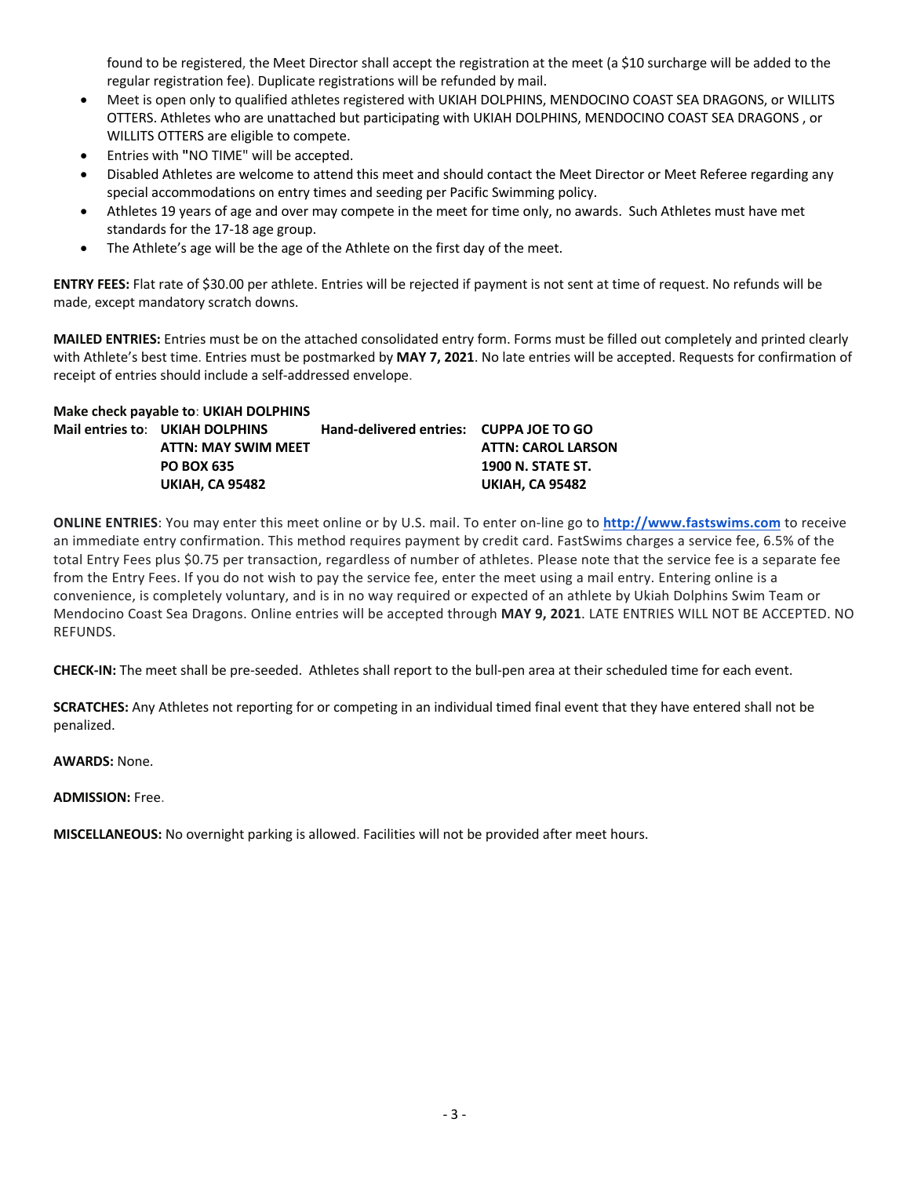found to be registered, the Meet Director shall accept the registration at the meet (a \$10 surcharge will be added to the regular registration fee). Duplicate registrations will be refunded by mail.

- Meet is open only to qualified athletes registered with UKIAH DOLPHINS, MENDOCINO COAST SEA DRAGONS, or WILLITS OTTERS. Athletes who are unattached but participating with UKIAH DOLPHINS, MENDOCINO COAST SEA DRAGONS , or WILLITS OTTERS are eligible to compete.
- Entries with **"**NO TIME" will be accepted.
- Disabled Athletes are welcome to attend this meet and should contact the Meet Director or Meet Referee regarding any special accommodations on entry times and seeding per Pacific Swimming policy.
- Athletes 19 years of age and over may compete in the meet for time only, no awards. Such Athletes must have met standards for the 17-18 age group.
- The Athlete's age will be the age of the Athlete on the first day of the meet.

**ENTRY FEES:** Flat rate of \$30.00 per athlete. Entries will be rejected if payment is not sent at time of request. No refunds will be made, except mandatory scratch downs.

**MAILED ENTRIES:** Entries must be on the attached consolidated entry form. Forms must be filled out completely and printed clearly with Athlete's best time. Entries must be postmarked by **MAY 7, 2021**. No late entries will be accepted. Requests for confirmation of receipt of entries should include a self-addressed envelope.

| Make check payable to: UKIAH DOLPHINS |                                 |                                         |                           |  |  |  |  |  |
|---------------------------------------|---------------------------------|-----------------------------------------|---------------------------|--|--|--|--|--|
|                                       | Mail entries to: UKIAH DOLPHINS | Hand-delivered entries: CUPPA JOE TO GO |                           |  |  |  |  |  |
|                                       | <b>ATTN: MAY SWIM MEET</b>      |                                         | <b>ATTN: CAROL LARSON</b> |  |  |  |  |  |
|                                       | <b>PO BOX 635</b>               |                                         | <b>1900 N. STATE ST.</b>  |  |  |  |  |  |
|                                       | <b>UKIAH. CA 95482</b>          |                                         | <b>UKIAH. CA 95482</b>    |  |  |  |  |  |

**ONLINE ENTRIES**: You may enter this meet online or by U.S. mail. To enter on-line go to **http://www.fastswims.com** to receive an immediate entry confirmation. This method requires payment by credit card. FastSwims charges a service fee, 6.5% of the total Entry Fees plus \$0.75 per transaction, regardless of number of athletes. Please note that the service fee is a separate fee from the Entry Fees. If you do not wish to pay the service fee, enter the meet using a mail entry. Entering online is a convenience, is completely voluntary, and is in no way required or expected of an athlete by Ukiah Dolphins Swim Team or Mendocino Coast Sea Dragons. Online entries will be accepted through **MAY 9, 2021**. LATE ENTRIES WILL NOT BE ACCEPTED. NO REFUNDS.

**CHECK-IN:** The meet shall be pre-seeded. Athletes shall report to the bull-pen area at their scheduled time for each event.

**SCRATCHES:** Any Athletes not reporting for or competing in an individual timed final event that they have entered shall not be penalized.

**AWARDS:** None.

**ADMISSION:** Free.

**MISCELLANEOUS:** No overnight parking is allowed. Facilities will not be provided after meet hours.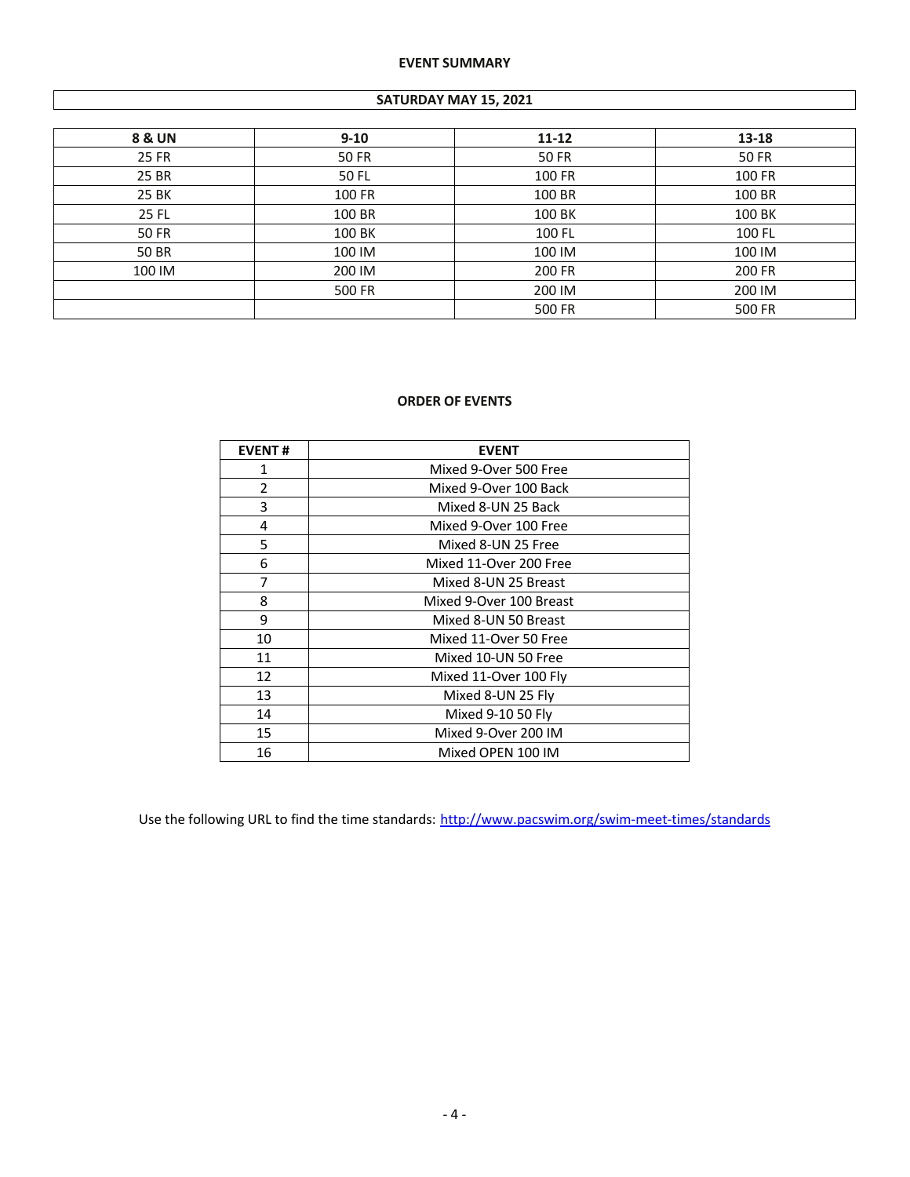### **EVENT SUMMARY**

#### **SATURDAY MAY 15, 2021**

| <b>8 &amp; UN</b> | $9 - 10$ | $11 - 12$ | 13-18  |
|-------------------|----------|-----------|--------|
| 25 FR             | 50 FR    | 50 FR     | 50 FR  |
| 25 BR             | 50 FL    | 100 FR    | 100 FR |
| 25 BK             | 100 FR   | 100 BR    | 100 BR |
| 25 FL             | 100 BR   | 100 BK    | 100 BK |
| 50 FR             | 100 BK   | 100 FL    | 100 FL |
| 50 BR             | 100 IM   | 100 IM    | 100 IM |
| 100 IM            | 200 IM   | 200 FR    | 200 FR |
|                   | 500 FR   | 200 IM    | 200 IM |
|                   |          | 500 FR    | 500 FR |

# **ORDER OF EVENTS**

| <b>EVENT#</b> | <b>EVENT</b>            |  |  |  |  |  |
|---------------|-------------------------|--|--|--|--|--|
| 1             | Mixed 9-Over 500 Free   |  |  |  |  |  |
| 2             | Mixed 9-Over 100 Back   |  |  |  |  |  |
| 3             | Mixed 8-UN 25 Back      |  |  |  |  |  |
| 4             | Mixed 9-Over 100 Free   |  |  |  |  |  |
| 5             | Mixed 8-UN 25 Free      |  |  |  |  |  |
| 6             | Mixed 11-Over 200 Free  |  |  |  |  |  |
| 7             | Mixed 8-UN 25 Breast    |  |  |  |  |  |
| 8             | Mixed 9-Over 100 Breast |  |  |  |  |  |
| 9             | Mixed 8-UN 50 Breast    |  |  |  |  |  |
| 10            | Mixed 11-Over 50 Free   |  |  |  |  |  |
| 11            | Mixed 10-UN 50 Free     |  |  |  |  |  |
| 12            | Mixed 11-Over 100 Fly   |  |  |  |  |  |
| 13            | Mixed 8-UN 25 Fly       |  |  |  |  |  |
| 14            | Mixed 9-10 50 Fly       |  |  |  |  |  |
| 15            | Mixed 9-Over 200 IM     |  |  |  |  |  |
| 16            | Mixed OPEN 100 IM       |  |  |  |  |  |

Use the following URL to find the time standards: http://www.pacswim.org/swim-meet-times/standards